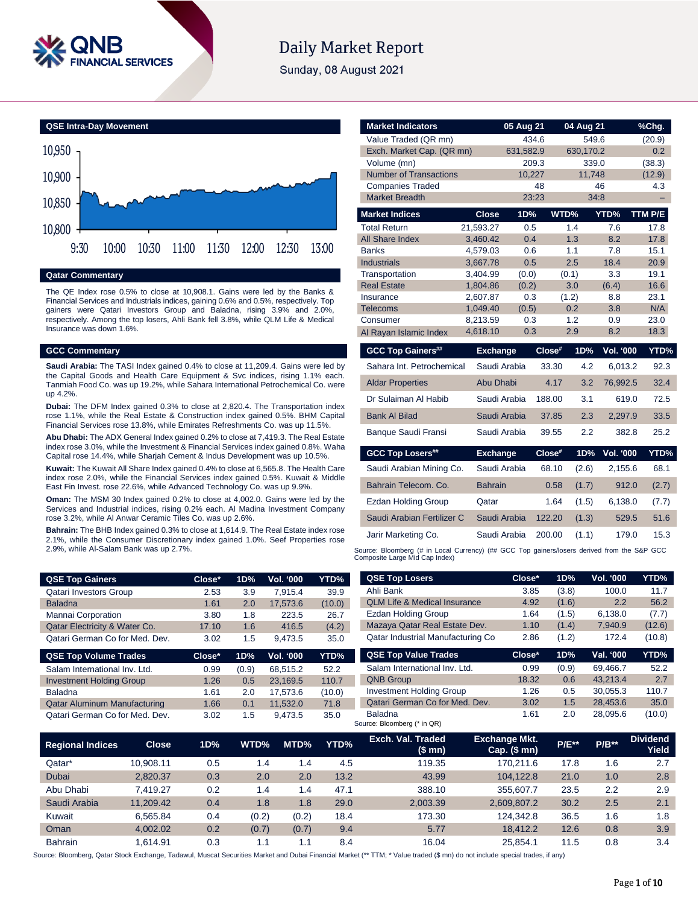

# **Daily Market Report**

Sunday, 08 August 2021



# **Qatar Commentary**

The QE Index rose 0.5% to close at 10,908.1. Gains were led by the Banks & Financial Services and Industrials indices, gaining 0.6% and 0.5%, respectively. Top gainers were Qatari Investors Group and Baladna, rising 3.9% and 2.0%, respectively. Among the top losers, Ahli Bank fell 3.8%, while QLM Life & Medical Insurance was down 1.6%.

#### **GCC Commentary**

**Saudi Arabia:** The TASI Index gained 0.4% to close at 11,209.4. Gains were led by the Capital Goods and Health Care Equipment & Svc indices, rising 1.1% each. Tanmiah Food Co. was up 19.2%, while Sahara International Petrochemical Co. were up 4.2%.

**Dubai:** The DFM Index gained 0.3% to close at 2,820.4. The Transportation index rose 1.1%, while the Real Estate & Construction index gained 0.5%. BHM Capital Financial Services rose 13.8%, while Emirates Refreshments Co. was up 11.5%.

**Abu Dhabi:** The ADX General Index gained 0.2% to close at 7,419.3. The Real Estate index rose 3.0%, while the Investment & Financial Services index gained 0.8%. Waha Capital rose 14.4%, while Sharjah Cement & Indus Development was up 10.5%.

**Kuwait:** The Kuwait All Share Index gained 0.4% to close at 6,565.8. The Health Care index rose 2.0%, while the Financial Services index gained 0.5%. Kuwait & Middle East Fin Invest. rose 22.6%, while Advanced Technology Co. was up 9.9%.

**Oman:** The MSM 30 Index gained 0.2% to close at 4,002.0. Gains were led by the Services and Industrial indices, rising 0.2% each. Al Madina Investment Company rose 3.2%, while Al Anwar Ceramic Tiles Co. was up 2.6%.

**Bahrain:** The BHB Index gained 0.3% to close at 1,614.9. The Real Estate index rose 2.1%, while the Consumer Discretionary index gained 1.0%. Seef Properties rose 2.9%, while Al-Salam Bank was up 2.7%.

| <b>QSE Top Gainers</b>                   | Close* | 1D% | <b>Vol. '000</b> | YTD%   |
|------------------------------------------|--------|-----|------------------|--------|
| <b>Qatari Investors Group</b>            | 2.53   | 3.9 | 7.915.4          | 39.9   |
| <b>Baladna</b>                           | 1.61   | 2.0 | 17.573.6         | (10.0) |
| Mannai Corporation                       | 3.80   | 1.8 | 223.5            | 26.7   |
| <b>Qatar Electricity &amp; Water Co.</b> | 17.10  | 1.6 | 416.5            | (4.2)  |
| Qatari German Co for Med. Dev.           | 3.02   | 1.5 | 9.473.5          | 35.0   |

| <b>QSE Top Volume Trades</b>        | Close* | 1D%   | <b>Vol. '000</b> | YTD%   |
|-------------------------------------|--------|-------|------------------|--------|
| Salam International Inv. Ltd.       | 0.99   | (0.9) | 68.515.2         | 52.2   |
| <b>Investment Holding Group</b>     | 1.26   | 0.5   | 23.169.5         | 110.7  |
| <b>Baladna</b>                      | 1.61   | 2.0   | 17.573.6         | (10.0) |
| <b>Qatar Aluminum Manufacturing</b> | 1.66   | 0.1   | 11.532.0         | 71.8   |
| Qatari German Co for Med. Dev.      | 3.02   | 1.5   | 9.473.5          | 35.0   |

| <b>Market Indicators</b>      |                 | 05 Aug 21    |        | 04 Aug 21 |                  | %Chg.   |
|-------------------------------|-----------------|--------------|--------|-----------|------------------|---------|
| Value Traded (QR mn)          |                 | 434.6        |        | 549.6     |                  | (20.9)  |
| Exch. Market Cap. (QR mn)     |                 | 631,582.9    |        | 630,170.2 |                  | 0.2     |
| Volume (mn)                   |                 | 209.3        |        | 339.0     |                  | (38.3)  |
| <b>Number of Transactions</b> |                 | 10,227       |        | 11,748    |                  | (12.9)  |
| <b>Companies Traded</b>       |                 |              | 48     |           | 46               | 4.3     |
| <b>Market Breadth</b>         |                 | 23:23        |        | 34:8      |                  |         |
| <b>Market Indices</b>         | <b>Close</b>    | 1D%          |        | WTD%      | YTD%             | TTM P/E |
| <b>Total Return</b>           | 21,593.27       | 0.5          |        | 1.4       | 7.6              | 17.8    |
| All Share Index               | 3,460.42        | 0.4          |        | 1.3       | 8.2              | 17.8    |
| <b>Banks</b>                  | 4,579.03        | 0.6          |        | 1.1       | 7.8              | 15.1    |
| <b>Industrials</b>            | 3,667.78        | 0.5          |        | 2.5       | 18.4             | 20.9    |
| Transportation                | 3,404.99        | (0.0)        |        | (0.1)     | 3.3              | 19.1    |
| <b>Real Estate</b>            | 1,804.86        | (0.2)        |        | 3.0       | (6.4)            | 16.6    |
| Insurance                     | 2,607.87        | 0.3          |        | (1.2)     | 8.8              | 23.1    |
| <b>Telecoms</b>               | 1,049.40        | (0.5)        |        | 0.2       | 3.8              | N/A     |
| Consumer                      | 8,213.59        | 0.3          |        | 1.2       | 0.9              | 23.0    |
| Al Rayan Islamic Index        | 4,618.10        | 0.3          |        | 2.9       | 8.2              | 18.3    |
| <b>GCC Top Gainers##</b>      | <b>Exchange</b> |              | Close# | 1D%       | <b>Vol. '000</b> | YTD%    |
| Sahara Int. Petrochemical     |                 | Saudi Arabia | 33.30  | 4.2       | 6.013.2          | 92.3    |
| <b>Aldar Properties</b>       | Abu Dhabi       |              | 4.17   | 3.2       | 76,992.5         | 32.4    |
| Dr Sulaiman Al Habib          |                 | Saudi Arabia | 188.00 | 3.1       | 619.0            | 72.5    |
| <b>Bank Al Bilad</b>          |                 | Saudi Arabia | 37.85  | 2.3       | 2.297.9          | 33.5    |
| Banque Saudi Fransi           |                 | Saudi Arabia | 39.55  | 2.2       | 382.8            | 25.2    |
| <b>GCC Top Losers##</b>       | <b>Exchange</b> |              | Close# | 1D%       | <b>Vol. '000</b> | YTD%    |
| Saudi Arabian Mining Co.      |                 | Saudi Arabia | 68.10  | (2.6)     | 2,155.6          | 68.1    |
| Bahrain Telecom, Co.          | <b>Bahrain</b>  |              | 0.58   | (1.7)     | 912.0            | (2.7)   |
| Ezdan Holding Group           | Qatar           |              | 1.64   | (1.5)     | 6,138.0          | (7.7)   |
| Saudi Arabian Fertilizer C    |                 | Saudi Arabia | 122.20 | (1.3)     | 529.5            | 51.6    |

Source: Bloomberg (# in Local Currency) (## GCC Top gainers/losers derived from the S&P GCC<br>Composite Large Mid Cap Index)

Jarir Marketing Co. Saudi Arabia 200.00 (1.1) 179.0 15.3

| <b>QSE Top Losers</b>                   | Close* | 1D%   | <b>Vol. '000</b> | YTD%   |
|-----------------------------------------|--------|-------|------------------|--------|
| Ahli Bank                               | 3.85   | (3.8) | 100.0            | 11.7   |
| <b>OLM Life &amp; Medical Insurance</b> | 4.92   | (1.6) | 2.2              | 56.2   |
| Ezdan Holding Group                     | 1.64   | (1.5) | 6,138.0          | (7.7)  |
| Mazaya Qatar Real Estate Dev.           | 1.10   | (1.4) | 7,940.9          | (12.6) |
| Qatar Industrial Manufacturing Co       | 2.86   | (1.2) | 172.4            | (10.8) |
|                                         |        |       |                  |        |
| <b>QSE Top Value Trades</b>             | Close* | 1D%   | Val. '000        | YTD%   |
| Salam International Inv. Ltd.           | 0.99   | (0.9) | 69.466.7         | 52.2   |
| <b>QNB Group</b>                        | 18.32  | 0.6   | 43.213.4         | 2.7    |
| <b>Investment Holding Group</b>         | 1.26   | 0.5   | 30.055.3         | 110.7  |
| Qatari German Co for Med. Dev.          | 3.02   | 1.5   | 28,453.6         | 35.0   |

| <b>Regional Indices</b> | <b>Close</b> | 1D% | WTD%  | MTD%  | YTD% | Exch. Val. Traded<br>(\$mn) | <b>Exchange Mkt.</b><br>$Cap.$ (\$ mn) | <b>P/E**</b> | $P/B**$ | <b>Dividend</b><br>Yield |
|-------------------------|--------------|-----|-------|-------|------|-----------------------------|----------------------------------------|--------------|---------|--------------------------|
| Qatar*                  | 10.908.11    | 0.5 | 1.4   | 1.4   | 4.5  | 119.35                      | 170.211.6                              | 17.8         | 1.6     | 2.7                      |
| Dubai                   | 2.820.37     | 0.3 | 2.0   | 2.0   | 13.2 | 43.99                       | 104.122.8                              | 21.0         | 1.0     | 2.8                      |
| Abu Dhabi               | 7.419.27     | 0.2 | 1.4   | 1.4   | 47.1 | 388.10                      | 355,607.7                              | 23.5         | 2.2     | 2.9                      |
| Saudi Arabia            | 11.209.42    | 0.4 | 1.8   | 1.8   | 29.0 | 2.003.39                    | 2.609.807.2                            | 30.2         | 2.5     | 2.1                      |
| Kuwait                  | 6.565.84     | 0.4 | (0.2) | (0.2) | 18.4 | 173.30                      | 124.342.8                              | 36.5         | 1.6     | 1.8                      |
| Oman                    | 4.002.02     | 0.2 | (0.7) | (0.7) | 9.4  | 5.77                        | 18.412.2                               | 12.6         | 0.8     | 3.9                      |
| <b>Bahrain</b>          | 1.614.91     | 0.3 | 1.1   | 1.1   | 8.4  | 16.04                       | 25.854.1                               | 11.5         | 0.8     | 3.4                      |

Source: Bloomberg, Qatar Stock Exchange, Tadawul, Muscat Securities Market and Dubai Financial Market (\*\* TTM; \* Value traded (\$ mn) do not include special trades, if any)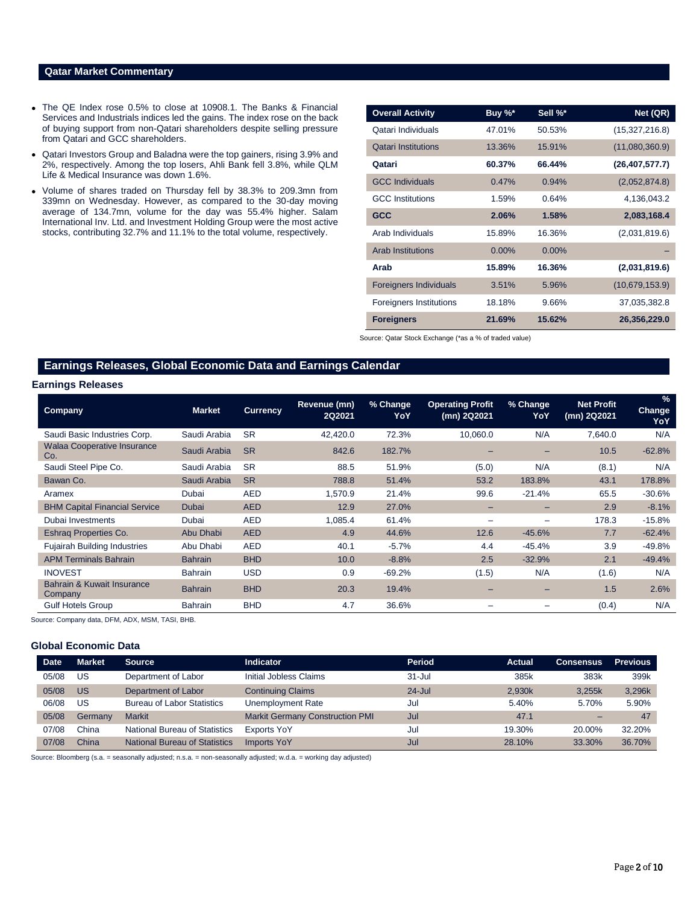# **Qatar Market Commentary**

- The QE Index rose 0.5% to close at 10908.1. The Banks & Financial Services and Industrials indices led the gains. The index rose on the back of buying support from non-Qatari shareholders despite selling pressure from Qatari and GCC shareholders.
- Qatari Investors Group and Baladna were the top gainers, rising 3.9% and 2%, respectively. Among the top losers, Ahli Bank fell 3.8%, while QLM Life & Medical Insurance was down 1.6%.
- Volume of shares traded on Thursday fell by 38.3% to 209.3mn from 339mn on Wednesday. However, as compared to the 30-day moving average of 134.7mn, volume for the day was 55.4% higher. Salam International Inv. Ltd. and Investment Holding Group were the most active stocks, contributing 32.7% and 11.1% to the total volume, respectively.

| <b>Overall Activity</b>        | Buy %*   | Sell %*  | Net (QR)         |
|--------------------------------|----------|----------|------------------|
| Qatari Individuals             | 47.01%   | 50.53%   | (15,327,216.8)   |
| <b>Oatari Institutions</b>     | 13.36%   | 15.91%   | (11,080,360.9)   |
| Qatari                         | 60.37%   | 66.44%   | (26, 407, 577.7) |
| <b>GCC Individuals</b>         | 0.47%    | 0.94%    | (2,052,874.8)    |
| <b>GCC</b> Institutions        | 1.59%    | 0.64%    | 4,136,043.2      |
| <b>GCC</b>                     | 2.06%    | 1.58%    | 2,083,168.4      |
| Arab Individuals               | 15.89%   | 16.36%   | (2,031,819.6)    |
| <b>Arab Institutions</b>       | $0.00\%$ | $0.00\%$ |                  |
| Arab                           | 15.89%   | 16.36%   | (2,031,819.6)    |
| <b>Foreigners Individuals</b>  | 3.51%    | 5.96%    | (10,679,153.9)   |
| <b>Foreigners Institutions</b> | 18.18%   | 9.66%    | 37,035,382.8     |
| <b>Foreigners</b>              | 21.69%   | 15.62%   | 26,356,229.0     |

Source: Qatar Stock Exchange (\*as a % of traded value)

# **Earnings Releases, Global Economic Data and Earnings Calendar**

# **Earnings Releases**

| Company                                   | <b>Market</b>  | <b>Currency</b> | Revenue (mn)<br>2Q2021 | % Change<br>YoY | <b>Operating Profit</b><br>(mn) 2Q2021 | % Change<br>YoY | <b>Net Profit</b><br>(mn) 2Q2021 | $\frac{9}{6}$<br><b>Change</b><br>YoY |
|-------------------------------------------|----------------|-----------------|------------------------|-----------------|----------------------------------------|-----------------|----------------------------------|---------------------------------------|
| Saudi Basic Industries Corp.              | Saudi Arabia   | <b>SR</b>       | 42.420.0               | 72.3%           | 10.060.0                               | N/A             | 7,640.0                          | N/A                                   |
| <b>Walaa Cooperative Insurance</b><br>Co. | Saudi Arabia   | <b>SR</b>       | 842.6                  | 182.7%          |                                        |                 | 10.5                             | $-62.8%$                              |
| Saudi Steel Pipe Co.                      | Saudi Arabia   | <b>SR</b>       | 88.5                   | 51.9%           | (5.0)                                  | N/A             | (8.1)                            | N/A                                   |
| Bawan Co.                                 | Saudi Arabia   | <b>SR</b>       | 788.8                  | 51.4%           | 53.2                                   | 183.8%          | 43.1                             | 178.8%                                |
| Aramex                                    | Dubai          | <b>AED</b>      | 1,570.9                | 21.4%           | 99.6                                   | $-21.4%$        | 65.5                             | $-30.6%$                              |
| <b>BHM Capital Financial Service</b>      | <b>Dubai</b>   | <b>AED</b>      | 12.9                   | 27.0%           | -                                      | -               | 2.9                              | $-8.1%$                               |
| Dubai Investments                         | Dubai          | <b>AED</b>      | 1,085.4                | 61.4%           | -                                      | -               | 178.3                            | $-15.8%$                              |
| <b>Eshrag Properties Co.</b>              | Abu Dhabi      | <b>AED</b>      | 4.9                    | 44.6%           | 12.6                                   | $-45.6%$        | 7.7                              | $-62.4%$                              |
| <b>Fujairah Building Industries</b>       | Abu Dhabi      | <b>AED</b>      | 40.1                   | $-5.7%$         | 4.4                                    | $-45.4%$        | 3.9                              | $-49.8%$                              |
| <b>APM Terminals Bahrain</b>              | <b>Bahrain</b> | <b>BHD</b>      | 10.0                   | $-8.8%$         | 2.5                                    | $-32.9%$        | 2.1                              | $-49.4%$                              |
| <b>INOVEST</b>                            | <b>Bahrain</b> | <b>USD</b>      | 0.9                    | $-69.2%$        | (1.5)                                  | N/A             | (1.6)                            | N/A                                   |
| Bahrain & Kuwait Insurance<br>Company     | <b>Bahrain</b> | <b>BHD</b>      | 20.3                   | 19.4%           |                                        | -               | 1.5                              | 2.6%                                  |
| <b>Gulf Hotels Group</b>                  | <b>Bahrain</b> | <b>BHD</b>      | 4.7                    | 36.6%           |                                        |                 | (0.4)                            | N/A                                   |

Source: Company data, DFM, ADX, MSM, TASI, BHB.

#### **Global Economic Data**

| <b>Date</b> | <b>Market</b> | <b>Source</b>                        | <b>Indicator</b>                       | Period     | <b>Actual</b> | <b>Consensus</b> | <b>Previous</b> |
|-------------|---------------|--------------------------------------|----------------------------------------|------------|---------------|------------------|-----------------|
| 05/08       | US.           | Department of Labor                  | Initial Jobless Claims                 | $31 -$ Jul | 385k          | 383k             | 399k            |
| 05/08       | US            | Department of Labor                  | <b>Continuing Claims</b>               | $24 -$ Jul | 2.930k        | 3.255k           | 3,296k          |
| 06/08       | US            | <b>Bureau of Labor Statistics</b>    | Unemployment Rate                      | Jul        | 5.40%         | 5.70%            | 5.90%           |
| 05/08       | Germany       | <b>Markit</b>                        | <b>Markit Germany Construction PMI</b> | Jul        | 47.1          | -                | 47              |
| 07/08       | China         | <b>National Bureau of Statistics</b> | <b>Exports YoY</b>                     | Jul        | 19.30%        | 20.00%           | 32.20%          |
| 07/08       | China         | <b>National Bureau of Statistics</b> | <b>Imports YoY</b>                     | Jul        | 28.10%        | 33.30%           | 36.70%          |

Source: Bloomberg (s.a. = seasonally adjusted; n.s.a. = non-seasonally adjusted; w.d.a. = working day adjusted)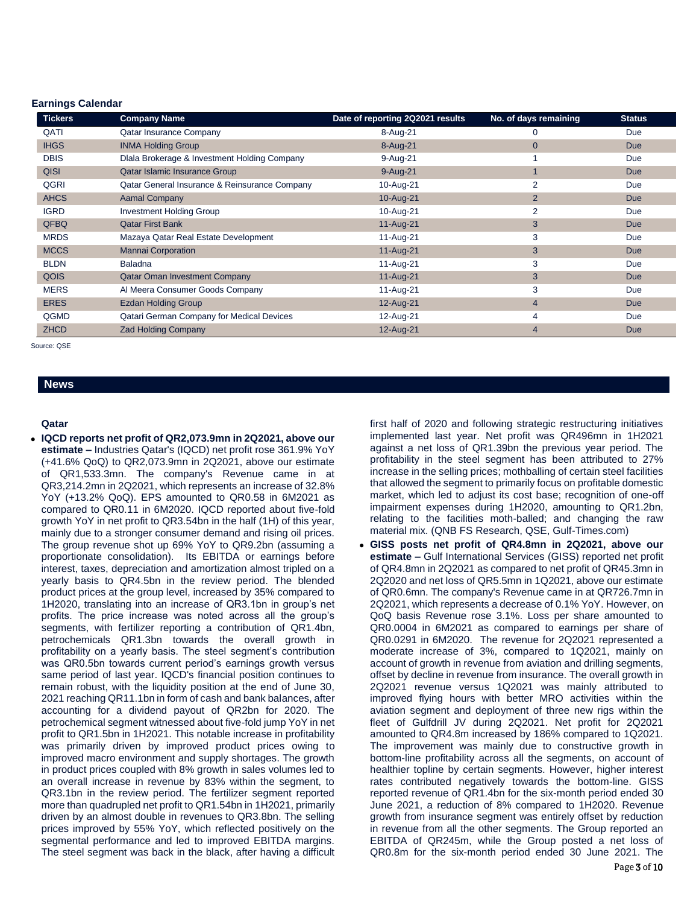### **Earnings Calendar**

| <b>Tickers</b> | <b>Company Name</b>                           | Date of reporting 2Q2021 results | No. of days remaining | <b>Status</b> |
|----------------|-----------------------------------------------|----------------------------------|-----------------------|---------------|
| QATI           | <b>Qatar Insurance Company</b>                | 8-Aug-21                         | 0                     | Due           |
| <b>IHGS</b>    | <b>INMA Holding Group</b>                     | 8-Aug-21                         | $\mathbf{0}$          | <b>Due</b>    |
| <b>DBIS</b>    | Dlala Brokerage & Investment Holding Company  | 9-Aug-21                         |                       | Due           |
| <b>QISI</b>    | Qatar Islamic Insurance Group                 | 9-Aug-21                         |                       | <b>Due</b>    |
| QGRI           | Qatar General Insurance & Reinsurance Company | 10-Aug-21                        | 2                     | Due           |
| <b>AHCS</b>    | <b>Aamal Company</b>                          | 10-Aug-21                        | $\overline{2}$        | <b>Due</b>    |
| <b>IGRD</b>    | <b>Investment Holding Group</b>               | 10-Aug-21                        | 2                     | Due           |
| <b>QFBQ</b>    | <b>Qatar First Bank</b>                       | 11-Aug-21                        | 3                     | <b>Due</b>    |
| <b>MRDS</b>    | Mazaya Qatar Real Estate Development          | 11-Aug-21                        | 3                     | Due           |
| <b>MCCS</b>    | <b>Mannai Corporation</b>                     | 11-Aug-21                        | 3                     | <b>Due</b>    |
| <b>BLDN</b>    | <b>Baladna</b>                                | 11-Aug-21                        | 3                     | Due           |
| <b>QOIS</b>    | <b>Qatar Oman Investment Company</b>          | 11-Aug-21                        | 3                     | <b>Due</b>    |
| <b>MERS</b>    | Al Meera Consumer Goods Company               | 11-Aug-21                        | 3                     | Due           |
| <b>ERES</b>    | <b>Ezdan Holding Group</b>                    | 12-Aug-21                        | $\overline{4}$        | <b>Due</b>    |
| QGMD           | Qatari German Company for Medical Devices     | 12-Aug-21                        | 4                     | Due           |
| <b>ZHCD</b>    | <b>Zad Holding Company</b>                    | 12-Aug-21                        | 4                     | <b>Due</b>    |

Source: QSE

# **News**

#### **Qatar**

 **IQCD reports net profit of QR2,073.9mn in 2Q2021, above our estimate –** Industries Qatar's (IQCD) net profit rose 361.9% YoY (+41.6% QoQ) to QR2,073.9mn in 2Q2021, above our estimate of QR1,533.3mn. The company's Revenue came in at QR3,214.2mn in 2Q2021, which represents an increase of 32.8% YoY (+13.2% QoQ). EPS amounted to QR0.58 in 6M2021 as compared to QR0.11 in 6M2020. IQCD reported about five-fold growth YoY in net profit to QR3.54bn in the half (1H) of this year, mainly due to a stronger consumer demand and rising oil prices. The group revenue shot up 69% YoY to QR9.2bn (assuming a proportionate consolidation). Its EBITDA or earnings before interest, taxes, depreciation and amortization almost tripled on a yearly basis to QR4.5bn in the review period. The blended product prices at the group level, increased by 35% compared to 1H2020, translating into an increase of QR3.1bn in group's net profits. The price increase was noted across all the group's segments, with fertilizer reporting a contribution of QR1.4bn, petrochemicals QR1.3bn towards the overall growth in profitability on a yearly basis. The steel segment's contribution was QR0.5bn towards current period's earnings growth versus same period of last year. IQCD's financial position continues to remain robust, with the liquidity position at the end of June 30, 2021 reaching QR11.1bn in form of cash and bank balances, after accounting for a dividend payout of QR2bn for 2020. The petrochemical segment witnessed about five-fold jump YoY in net profit to QR1.5bn in 1H2021. This notable increase in profitability was primarily driven by improved product prices owing to improved macro environment and supply shortages. The growth in product prices coupled with 8% growth in sales volumes led to an overall increase in revenue by 83% within the segment, to QR3.1bn in the review period. The fertilizer segment reported more than quadrupled net profit to QR1.54bn in 1H2021, primarily driven by an almost double in revenues to QR3.8bn. The selling prices improved by 55% YoY, which reflected positively on the segmental performance and led to improved EBITDA margins. The steel segment was back in the black, after having a difficult

first half of 2020 and following strategic restructuring initiatives implemented last year. Net profit was QR496mn in 1H2021 against a net loss of QR1.39bn the previous year period. The profitability in the steel segment has been attributed to 27% increase in the selling prices; mothballing of certain steel facilities that allowed the segment to primarily focus on profitable domestic market, which led to adjust its cost base; recognition of one-off impairment expenses during 1H2020, amounting to QR1.2bn, relating to the facilities moth-balled; and changing the raw material mix. (QNB FS Research, QSE, Gulf-Times.com)

 **GISS posts net profit of QR4.8mn in 2Q2021, above our estimate –** Gulf International Services (GISS) reported net profit of QR4.8mn in 2Q2021 as compared to net profit of QR45.3mn in 2Q2020 and net loss of QR5.5mn in 1Q2021, above our estimate of QR0.6mn. The company's Revenue came in at QR726.7mn in 2Q2021, which represents a decrease of 0.1% YoY. However, on QoQ basis Revenue rose 3.1%. Loss per share amounted to QR0.0004 in 6M2021 as compared to earnings per share of QR0.0291 in 6M2020. The revenue for 2Q2021 represented a moderate increase of 3%, compared to 1Q2021, mainly on account of growth in revenue from aviation and drilling segments, offset by decline in revenue from insurance. The overall growth in 2Q2021 revenue versus 1Q2021 was mainly attributed to improved flying hours with better MRO activities within the aviation segment and deployment of three new rigs within the fleet of Gulfdrill JV during 2Q2021. Net profit for 2Q2021 amounted to QR4.8m increased by 186% compared to 1Q2021. The improvement was mainly due to constructive growth in bottom-line profitability across all the segments, on account of healthier topline by certain segments. However, higher interest rates contributed negatively towards the bottom-line. GISS reported revenue of QR1.4bn for the six-month period ended 30 June 2021, a reduction of 8% compared to 1H2020. Revenue growth from insurance segment was entirely offset by reduction in revenue from all the other segments. The Group reported an EBITDA of QR245m, while the Group posted a net loss of QR0.8m for the six-month period ended 30 June 2021. The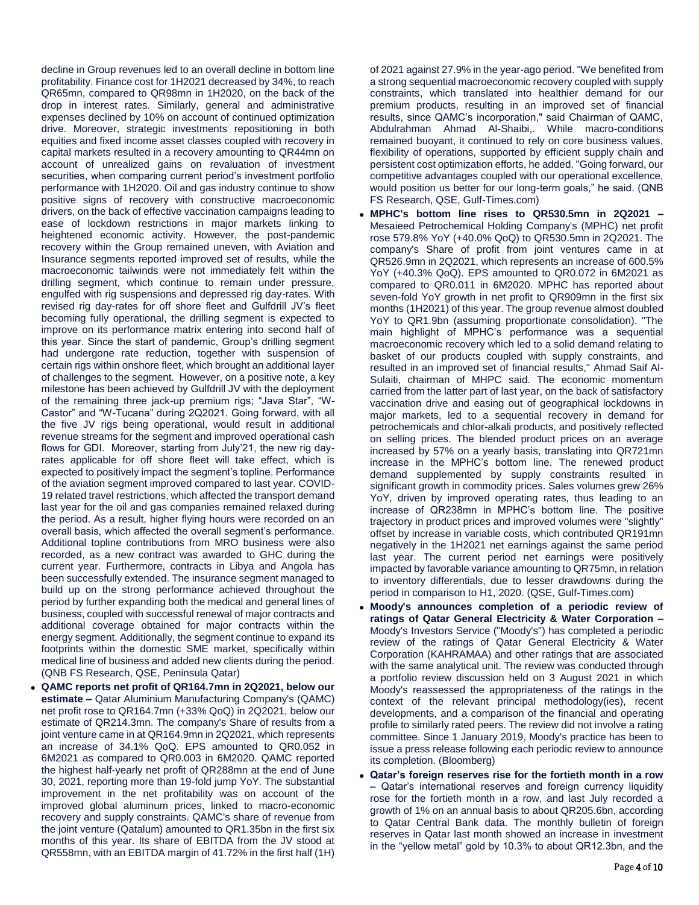decline in Group revenues led to an overall decline in bottom line profitability. Finance cost for 1H2021 decreased by 34%, to reach QR65mn, compared to QR98mn in 1H2020, on the back of the drop in interest rates. Similarly, general and administrative expenses declined by 10% on account of continued optimization drive. Moreover, strategic investments repositioning in both equities and fixed income asset classes coupled with recovery in capital markets resulted in a recovery amounting to QR44mn on account of unrealized gains on revaluation of investment securities, when comparing current period's investment portfolio performance with 1H2020. Oil and gas industry continue to show positive signs of recovery with constructive macroeconomic drivers, on the back of effective vaccination campaigns leading to ease of lockdown restrictions in major markets linking to heightened economic activity. However, the post-pandemic recovery within the Group remained uneven, with Aviation and Insurance segments reported improved set of results, while the macroeconomic tailwinds were not immediately felt within the drilling segment, which continue to remain under pressure, engulfed with rig suspensions and depressed rig day-rates. With revised rig day-rates for off shore fleet and Gulfdrill JV's fleet becoming fully operational, the drilling segment is expected to improve on its performance matrix entering into second half of this year. Since the start of pandemic, Group's drilling segment had undergone rate reduction, together with suspension of certain rigs within onshore fleet, which brought an additional layer of challenges to the segment. However, on a positive note, a key milestone has been achieved by Gulfdrill JV with the deployment of the remaining three jack-up premium rigs; "Java Star", "W-Castor" and "W-Tucana" during 2Q2021. Going forward, with all the five JV rigs being operational, would result in additional revenue streams for the segment and improved operational cash flows for GDI. Moreover, starting from July'21, the new rig dayrates applicable for off shore fleet will take effect, which is expected to positively impact the segment's topline. Performance of the aviation segment improved compared to last year. COVID-19 related travel restrictions, which affected the transport demand last year for the oil and gas companies remained relaxed during the period. As a result, higher flying hours were recorded on an overall basis, which affected the overall segment's performance. Additional topline contributions from MRO business were also recorded, as a new contract was awarded to GHC during the current year. Furthermore, contracts in Libya and Angola has been successfully extended. The insurance segment managed to build up on the strong performance achieved throughout the period by further expanding both the medical and general lines of business, coupled with successful renewal of major contracts and additional coverage obtained for major contracts within the energy segment. Additionally, the segment continue to expand its footprints within the domestic SME market, specifically within medical line of business and added new clients during the period. (QNB FS Research, QSE, Peninsula Qatar)

 **QAMC reports net profit of QR164.7mn in 2Q2021, below our estimate –** Qatar Aluminium Manufacturing Company's (QAMC) net profit rose to QR164.7mn (+33% QoQ) in 2Q2021, below our estimate of QR214.3mn. The company's Share of results from a joint venture came in at QR164.9mn in 2Q2021, which represents an increase of 34.1% QoQ. EPS amounted to QR0.052 in 6M2021 as compared to QR0.003 in 6M2020. QAMC reported the highest half-yearly net profit of QR288mn at the end of June 30, 2021, reporting more than 19-fold jump YoY. The substantial improvement in the net profitability was on account of the improved global aluminum prices, linked to macro-economic recovery and supply constraints. QAMC's share of revenue from the joint venture (Qatalum) amounted to QR1.35bn in the first six months of this year. Its share of EBITDA from the JV stood at QR558mn, with an EBITDA margin of 41.72% in the first half (1H)

of 2021 against 27.9% in the year-ago period. "We benefited from a strong sequential macroeconomic recovery coupled with supply constraints, which translated into healthier demand for our premium products, resulting in an improved set of financial results, since QAMC's incorporation," said Chairman of QAMC, Abdulrahman Ahmad Al-Shaibi,. While macro-conditions remained buoyant, it continued to rely on core business values, flexibility of operations, supported by efficient supply chain and persistent cost optimization efforts, he added. "Going forward, our competitive advantages coupled with our operational excellence, would position us better for our long-term goals," he said. (QNB FS Research, QSE, Gulf-Times.com)

- **MPHC's bottom line rises to QR530.5mn in 2Q2021 –** Mesaieed Petrochemical Holding Company's (MPHC) net profit rose 579.8% YoY (+40.0% QoQ) to QR530.5mn in 2Q2021. The company's Share of profit from joint ventures came in at QR526.9mn in 2Q2021, which represents an increase of 600.5% YoY (+40.3% QoQ). EPS amounted to QR0.072 in 6M2021 as compared to QR0.011 in 6M2020. MPHC has reported about seven-fold YoY growth in net profit to QR909mn in the first six months (1H2021) of this year. The group revenue almost doubled YoY to QR1.9bn (assuming proportionate consolidation). "The main highlight of MPHC's performance was a sequential macroeconomic recovery which led to a solid demand relating to basket of our products coupled with supply constraints, and resulted in an improved set of financial results," Ahmad Saif Al-Sulaiti, chairman of MHPC said. The economic momentum carried from the latter part of last year, on the back of satisfactory vaccination drive and easing out of geographical lockdowns in major markets, led to a sequential recovery in demand for petrochemicals and chlor-alkali products, and positively reflected on selling prices. The blended product prices on an average increased by 57% on a yearly basis, translating into QR721mn increase in the MPHC's bottom line. The renewed product demand supplemented by supply constraints resulted in significant growth in commodity prices. Sales volumes grew 26% YoY, driven by improved operating rates, thus leading to an increase of QR238mn in MPHC's bottom line. The positive trajectory in product prices and improved volumes were "slightly" offset by increase in variable costs, which contributed QR191mn negatively in the 1H2021 net earnings against the same period last year. The current period net earnings were positively impacted by favorable variance amounting to QR75mn, in relation to inventory differentials, due to lesser drawdowns during the period in comparison to H1, 2020. (QSE, Gulf-Times.com)
- **Moody's announces completion of a periodic review of ratings of Qatar General Electricity & Water Corporation –** Moody's Investors Service ("Moody's") has completed a periodic review of the ratings of Qatar General Electricity & Water Corporation (KAHRAMAA) and other ratings that are associated with the same analytical unit. The review was conducted through a portfolio review discussion held on 3 August 2021 in which Moody's reassessed the appropriateness of the ratings in the context of the relevant principal methodology(ies), recent developments, and a comparison of the financial and operating profile to similarly rated peers. The review did not involve a rating committee. Since 1 January 2019, Moody's practice has been to issue a press release following each periodic review to announce its completion. (Bloomberg)
- **Qatar's foreign reserves rise for the fortieth month in a row –** Qatar's international reserves and foreign currency liquidity rose for the fortieth month in a row, and last July recorded a growth of 1% on an annual basis to about QR205.6bn, according to Qatar Central Bank data. The monthly bulletin of foreign reserves in Qatar last month showed an increase in investment in the "yellow metal" gold by 10.3% to about QR12.3bn, and the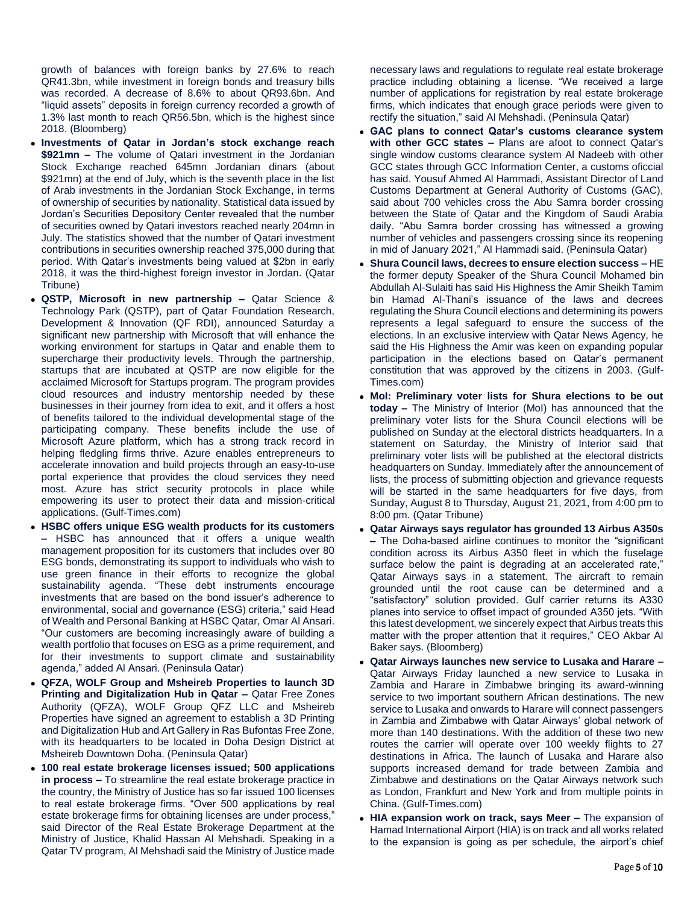growth of balances with foreign banks by 27.6% to reach QR41.3bn, while investment in foreign bonds and treasury bills was recorded. A decrease of 8.6% to about QR93.6bn. And "liquid assets" deposits in foreign currency recorded a growth of 1.3% last month to reach QR56.5bn, which is the highest since 2018. (Bloomberg)

- **Investments of Qatar in Jordan's stock exchange reach \$921mn –** The volume of Qatari investment in the Jordanian Stock Exchange reached 645mn Jordanian dinars (about \$921mn) at the end of July, which is the seventh place in the list of Arab investments in the Jordanian Stock Exchange, in terms of ownership of securities by nationality. Statistical data issued by Jordan's Securities Depository Center revealed that the number of securities owned by Qatari investors reached nearly 204mn in July. The statistics showed that the number of Qatari investment contributions in securities ownership reached 375,000 during that period. With Qatar's investments being valued at \$2bn in early 2018, it was the third-highest foreign investor in Jordan. (Qatar Tribune)
- **QSTP, Microsoft in new partnership –** Qatar Science & Technology Park (QSTP), part of Qatar Foundation Research, Development & Innovation (QF RDI), announced Saturday a significant new partnership with Microsoft that will enhance the working environment for startups in Qatar and enable them to supercharge their productivity levels. Through the partnership, startups that are incubated at QSTP are now eligible for the acclaimed Microsoft for Startups program. The program provides cloud resources and industry mentorship needed by these businesses in their journey from idea to exit, and it offers a host of benefits tailored to the individual developmental stage of the participating company. These benefits include the use of Microsoft Azure platform, which has a strong track record in helping fledgling firms thrive. Azure enables entrepreneurs to accelerate innovation and build projects through an easy-to-use portal experience that provides the cloud services they need most. Azure has strict security protocols in place while empowering its user to protect their data and mission-critical applications. (Gulf-Times.com)
- **HSBC offers unique ESG wealth products for its customers –** HSBC has announced that it offers a unique wealth management proposition for its customers that includes over 80 ESG bonds, demonstrating its support to individuals who wish to use green finance in their efforts to recognize the global sustainability agenda. "These debt instruments encourage investments that are based on the bond issuer's adherence to environmental, social and governance (ESG) criteria," said Head of Wealth and Personal Banking at HSBC Qatar, Omar Al Ansari. "Our customers are becoming increasingly aware of building a wealth portfolio that focuses on ESG as a prime requirement, and for their investments to support climate and sustainability agenda," added Al Ansari. (Peninsula Qatar)
- **QFZA, WOLF Group and Msheireb Properties to launch 3D Printing and Digitalization Hub in Qatar –** Qatar Free Zones Authority (QFZA), WOLF Group QFZ LLC and Msheireb Properties have signed an agreement to establish a 3D Printing and Digitalization Hub and Art Gallery in Ras Bufontas Free Zone, with its headquarters to be located in Doha Design District at Msheireb Downtown Doha. (Peninsula Qatar)
- **100 real estate brokerage licenses issued; 500 applications in process –** To streamline the real estate brokerage practice in the country, the Ministry of Justice has so far issued 100 licenses to real estate brokerage firms. "Over 500 applications by real estate brokerage firms for obtaining licenses are under process," said Director of the Real Estate Brokerage Department at the Ministry of Justice, Khalid Hassan Al Mehshadi. Speaking in a Qatar TV program, Al Mehshadi said the Ministry of Justice made

necessary laws and regulations to regulate real estate brokerage practice including obtaining a license. "We received a large number of applications for registration by real estate brokerage firms, which indicates that enough grace periods were given to rectify the situation," said Al Mehshadi. (Peninsula Qatar)

- **GAC plans to connect Qatar's customs clearance system with other GCC states –** Plans are afoot to connect Qatar's single window customs clearance system Al Nadeeb with other GCC states through GCC Information Center, a customs oficcial has said. Yousuf Ahmed Al Hammadi, Assistant Director of Land Customs Department at General Authority of Customs (GAC), said about 700 vehicles cross the Abu Samra border crossing between the State of Qatar and the Kingdom of Saudi Arabia daily. "Abu Samra border crossing has witnessed a growing number of vehicles and passengers crossing since its reopening in mid of January 2021," Al Hammadi said. (Peninsula Qatar)
- **Shura Council laws, decrees to ensure election success –** HE the former deputy Speaker of the Shura Council Mohamed bin Abdullah Al-Sulaiti has said His Highness the Amir Sheikh Tamim bin Hamad Al-Thani's issuance of the laws and decrees regulating the Shura Council elections and determining its powers represents a legal safeguard to ensure the success of the elections. In an exclusive interview with Qatar News Agency, he said the His Highness the Amir was keen on expanding popular participation in the elections based on Qatar's permanent constitution that was approved by the citizens in 2003. (Gulf-Times.com)
- **MoI: Preliminary voter lists for Shura elections to be out today –** The Ministry of Interior (MoI) has announced that the preliminary voter lists for the Shura Council elections will be published on Sunday at the electoral districts headquarters. In a statement on Saturday, the Ministry of Interior said that preliminary voter lists will be published at the electoral districts headquarters on Sunday. Immediately after the announcement of lists, the process of submitting objection and grievance requests will be started in the same headquarters for five days, from Sunday, August 8 to Thursday, August 21, 2021, from 4:00 pm to 8:00 pm. (Qatar Tribune)
- **Qatar Airways says regulator has grounded 13 Airbus A350s –** The Doha-based airline continues to monitor the "significant condition across its Airbus A350 fleet in which the fuselage surface below the paint is degrading at an accelerated rate," Qatar Airways says in a statement. The aircraft to remain grounded until the root cause can be determined and a "satisfactory" solution provided. Gulf carrier returns its A330 planes into service to offset impact of grounded A350 jets. "With this latest development, we sincerely expect that Airbus treats this matter with the proper attention that it requires," CEO Akbar Al Baker says. (Bloomberg)
- **Qatar Airways launches new service to Lusaka and Harare –** Qatar Airways Friday launched a new service to Lusaka in Zambia and Harare in Zimbabwe bringing its award-winning service to two important southern African destinations. The new service to Lusaka and onwards to Harare will connect passengers in Zambia and Zimbabwe with Qatar Airways' global network of more than 140 destinations. With the addition of these two new routes the carrier will operate over 100 weekly flights to 27 destinations in Africa. The launch of Lusaka and Harare also supports increased demand for trade between Zambia and Zimbabwe and destinations on the Qatar Airways network such as London, Frankfurt and New York and from multiple points in China. (Gulf-Times.com)
- **HIA expansion work on track, says Meer –** The expansion of Hamad International Airport (HIA) is on track and all works related to the expansion is going as per schedule, the airport's chief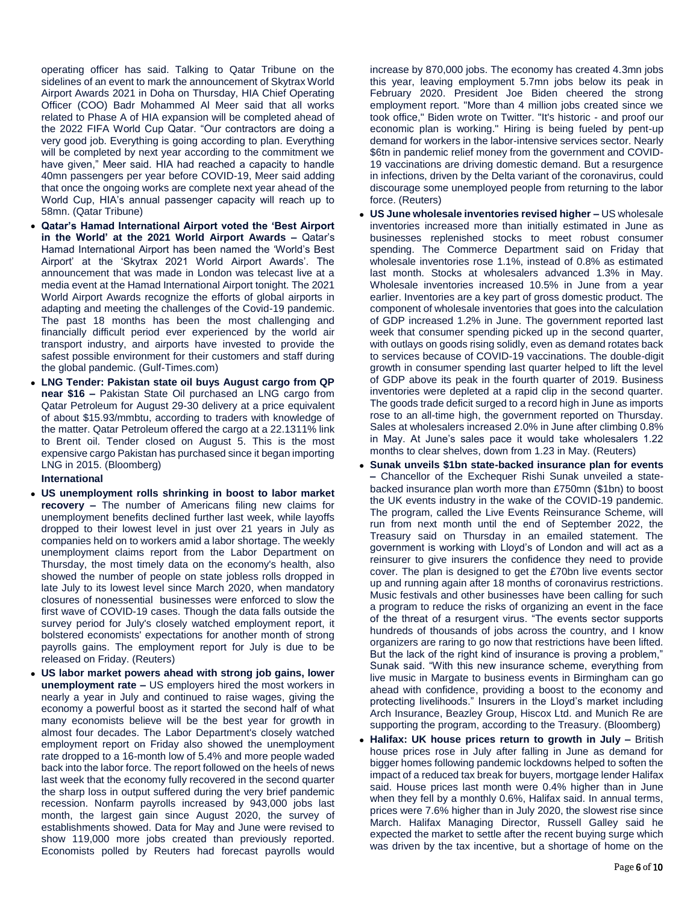operating officer has said. Talking to Qatar Tribune on the sidelines of an event to mark the announcement of Skytrax World Airport Awards 2021 in Doha on Thursday, HIA Chief Operating Officer (COO) Badr Mohammed Al Meer said that all works related to Phase A of HIA expansion will be completed ahead of the 2022 FIFA World Cup Qatar. "Our contractors are doing a very good job. Everything is going according to plan. Everything will be completed by next year according to the commitment we have given," Meer said. HIA had reached a capacity to handle 40mn passengers per year before COVID-19, Meer said adding that once the ongoing works are complete next year ahead of the World Cup, HIA's annual passenger capacity will reach up to 58mn. (Qatar Tribune)

- **Qatar's Hamad International Airport voted the 'Best Airport in the World' at the 2021 World Airport Awards –** Qatar's Hamad International Airport has been named the 'World's Best Airport' at the 'Skytrax 2021 World Airport Awards'. The announcement that was made in London was telecast live at a media event at the Hamad International Airport tonight. The 2021 World Airport Awards recognize the efforts of global airports in adapting and meeting the challenges of the Covid-19 pandemic. The past 18 months has been the most challenging and financially difficult period ever experienced by the world air transport industry, and airports have invested to provide the safest possible environment for their customers and staff during the global pandemic. (Gulf-Times.com)
- **LNG Tender: Pakistan state oil buys August cargo from QP near \$16 –** Pakistan State Oil purchased an LNG cargo from Qatar Petroleum for August 29-30 delivery at a price equivalent of about \$15.93/mmbtu, according to traders with knowledge of the matter. Qatar Petroleum offered the cargo at a 22.1311% link to Brent oil. Tender closed on August 5. This is the most expensive cargo Pakistan has purchased since it began importing LNG in 2015. (Bloomberg)

**International**

- **US unemployment rolls shrinking in boost to labor market recovery –** The number of Americans filing new claims for unemployment benefits declined further last week, while layoffs dropped to their lowest level in just over 21 years in July as companies held on to workers amid a labor shortage. The weekly unemployment claims report from the Labor Department on Thursday, the most timely data on the economy's health, also showed the number of people on state jobless rolls dropped in late July to its lowest level since March 2020, when mandatory closures of nonessential businesses were enforced to slow the first wave of COVID-19 cases. Though the data falls outside the survey period for July's closely watched employment report, it bolstered economists' expectations for another month of strong payrolls gains. The employment report for July is due to be released on Friday. (Reuters)
- **US labor market powers ahead with strong job gains, lower unemployment rate –** US employers hired the most workers in nearly a year in July and continued to raise wages, giving the economy a powerful boost as it started the second half of what many economists believe will be the best year for growth in almost four decades. The Labor Department's closely watched employment report on Friday also showed the unemployment rate dropped to a 16-month low of 5.4% and more people waded back into the labor force. The report followed on the heels of news last week that the economy fully recovered in the second quarter the sharp loss in output suffered during the very brief pandemic recession. Nonfarm payrolls increased by 943,000 jobs last month, the largest gain since August 2020, the survey of establishments showed. Data for May and June were revised to show 119,000 more jobs created than previously reported. Economists polled by Reuters had forecast payrolls would

increase by 870,000 jobs. The economy has created 4.3mn jobs this year, leaving employment 5.7mn jobs below its peak in February 2020. President Joe Biden cheered the strong employment report. "More than 4 million jobs created since we took office," Biden wrote on Twitter. "It's historic - and proof our economic plan is working." Hiring is being fueled by pent-up demand for workers in the labor-intensive services sector. Nearly \$6tn in pandemic relief money from the government and COVID-19 vaccinations are driving domestic demand. But a resurgence in infections, driven by the Delta variant of the coronavirus, could discourage some unemployed people from returning to the labor force. (Reuters)

- **US June wholesale inventories revised higher –** US wholesale inventories increased more than initially estimated in June as businesses replenished stocks to meet robust consumer spending. The Commerce Department said on Friday that wholesale inventories rose 1.1%, instead of 0.8% as estimated last month. Stocks at wholesalers advanced 1.3% in May. Wholesale inventories increased 10.5% in June from a year earlier. Inventories are a key part of gross domestic product. The component of wholesale inventories that goes into the calculation of GDP increased 1.2% in June. The government reported last week that consumer spending picked up in the second quarter, with outlays on goods rising solidly, even as demand rotates back to services because of COVID-19 vaccinations. The double-digit growth in consumer spending last quarter helped to lift the level of GDP above its peak in the fourth quarter of 2019. Business inventories were depleted at a rapid clip in the second quarter. The goods trade deficit surged to a record high in June as imports rose to an all-time high, the government reported on Thursday. Sales at wholesalers increased 2.0% in June after climbing 0.8% in May. At June's sales pace it would take wholesalers 1.22 months to clear shelves, down from 1.23 in May. (Reuters)
- **Sunak unveils \$1bn state-backed insurance plan for events –** Chancellor of the Exchequer Rishi Sunak unveiled a statebacked insurance plan worth more than £750mn (\$1bn) to boost the UK events industry in the wake of the COVID-19 pandemic. The program, called the Live Events Reinsurance Scheme, will run from next month until the end of September 2022, the Treasury said on Thursday in an emailed statement. The government is working with Lloyd's of London and will act as a reinsurer to give insurers the confidence they need to provide cover. The plan is designed to get the £70bn live events sector up and running again after 18 months of coronavirus restrictions. Music festivals and other businesses have been calling for such a program to reduce the risks of organizing an event in the face of the threat of a resurgent virus. "The events sector supports hundreds of thousands of jobs across the country, and I know organizers are raring to go now that restrictions have been lifted. But the lack of the right kind of insurance is proving a problem," Sunak said. "With this new insurance scheme, everything from live music in Margate to business events in Birmingham can go ahead with confidence, providing a boost to the economy and protecting livelihoods." Insurers in the Lloyd's market including Arch Insurance, Beazley Group, Hiscox Ltd. and Munich Re are supporting the program, according to the Treasury. (Bloomberg)
- **Halifax: UK house prices return to growth in July –** British house prices rose in July after falling in June as demand for bigger homes following pandemic lockdowns helped to soften the impact of a reduced tax break for buyers, mortgage lender Halifax said. House prices last month were 0.4% higher than in June when they fell by a monthly 0.6%, Halifax said. In annual terms, prices were 7.6% higher than in July 2020, the slowest rise since March. Halifax Managing Director, Russell Galley said he expected the market to settle after the recent buying surge which was driven by the tax incentive, but a shortage of home on the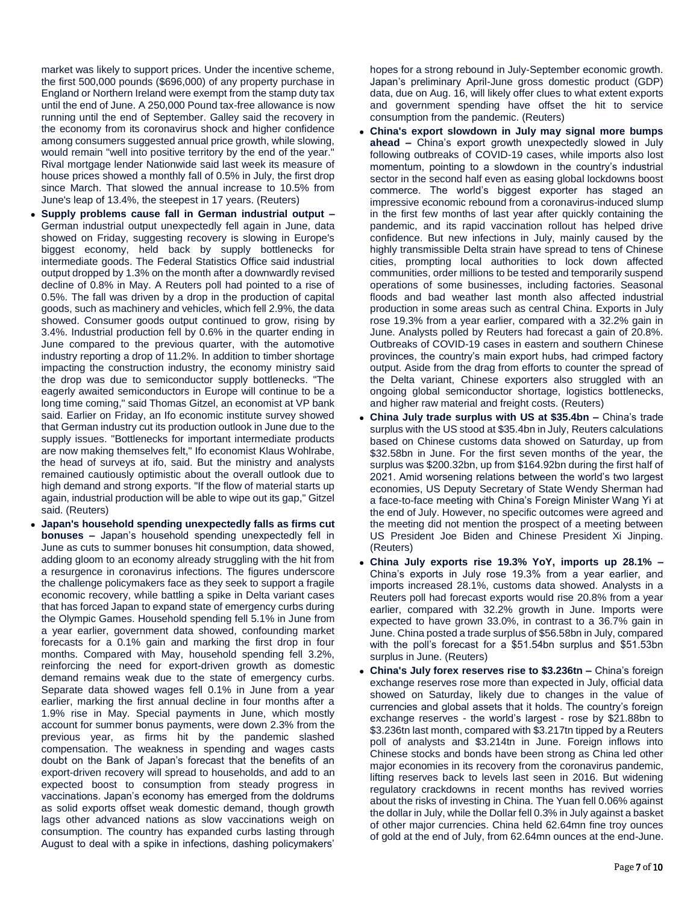market was likely to support prices. Under the incentive scheme, the first 500,000 pounds (\$696,000) of any property purchase in England or Northern Ireland were exempt from the stamp duty tax until the end of June. A 250,000 Pound tax-free allowance is now running until the end of September. Galley said the recovery in the economy from its coronavirus shock and higher confidence among consumers suggested annual price growth, while slowing, would remain "well into positive territory by the end of the year." Rival mortgage lender Nationwide said last week its measure of house prices showed a monthly fall of 0.5% in July, the first drop since March. That slowed the annual increase to 10.5% from June's leap of 13.4%, the steepest in 17 years. (Reuters)

- **Supply problems cause fall in German industrial output –** German industrial output unexpectedly fell again in June, data showed on Friday, suggesting recovery is slowing in Europe's biggest economy, held back by supply bottlenecks for intermediate goods. The Federal Statistics Office said industrial output dropped by 1.3% on the month after a downwardly revised decline of 0.8% in May. A Reuters poll had pointed to a rise of 0.5%. The fall was driven by a drop in the production of capital goods, such as machinery and vehicles, which fell 2.9%, the data showed. Consumer goods output continued to grow, rising by 3.4%. Industrial production fell by 0.6% in the quarter ending in June compared to the previous quarter, with the automotive industry reporting a drop of 11.2%. In addition to timber shortage impacting the construction industry, the economy ministry said the drop was due to semiconductor supply bottlenecks. "The eagerly awaited semiconductors in Europe will continue to be a long time coming," said Thomas Gitzel, an economist at VP bank said. Earlier on Friday, an Ifo economic institute survey showed that German industry cut its production outlook in June due to the supply issues. "Bottlenecks for important intermediate products are now making themselves felt," Ifo economist Klaus Wohlrabe, the head of surveys at ifo, said. But the ministry and analysts remained cautiously optimistic about the overall outlook due to high demand and strong exports. "If the flow of material starts up again, industrial production will be able to wipe out its gap," Gitzel said. (Reuters)
- **Japan's household spending unexpectedly falls as firms cut bonuses –** Japan's household spending unexpectedly fell in June as cuts to summer bonuses hit consumption, data showed, adding gloom to an economy already struggling with the hit from a resurgence in coronavirus infections. The figures underscore the challenge policymakers face as they seek to support a fragile economic recovery, while battling a spike in Delta variant cases that has forced Japan to expand state of emergency curbs during the Olympic Games. Household spending fell 5.1% in June from a year earlier, government data showed, confounding market forecasts for a 0.1% gain and marking the first drop in four months. Compared with May, household spending fell 3.2%, reinforcing the need for export-driven growth as domestic demand remains weak due to the state of emergency curbs. Separate data showed wages fell 0.1% in June from a year earlier, marking the first annual decline in four months after a 1.9% rise in May. Special payments in June, which mostly account for summer bonus payments, were down 2.3% from the previous year, as firms hit by the pandemic slashed compensation. The weakness in spending and wages casts doubt on the Bank of Japan's forecast that the benefits of an export-driven recovery will spread to households, and add to an expected boost to consumption from steady progress in vaccinations. Japan's economy has emerged from the doldrums as solid exports offset weak domestic demand, though growth lags other advanced nations as slow vaccinations weigh on consumption. The country has expanded curbs lasting through August to deal with a spike in infections, dashing policymakers'

hopes for a strong rebound in July-September economic growth. Japan's preliminary April-June gross domestic product (GDP) data, due on Aug. 16, will likely offer clues to what extent exports and government spending have offset the hit to service consumption from the pandemic. (Reuters)

- **China's export slowdown in July may signal more bumps ahead –** China's export growth unexpectedly slowed in July following outbreaks of COVID-19 cases, while imports also lost momentum, pointing to a slowdown in the country's industrial sector in the second half even as easing global lockdowns boost commerce. The world's biggest exporter has staged an impressive economic rebound from a coronavirus-induced slump in the first few months of last year after quickly containing the pandemic, and its rapid vaccination rollout has helped drive confidence. But new infections in July, mainly caused by the highly transmissible Delta strain have spread to tens of Chinese cities, prompting local authorities to lock down affected communities, order millions to be tested and temporarily suspend operations of some businesses, including factories. Seasonal floods and bad weather last month also affected industrial production in some areas such as central China. Exports in July rose 19.3% from a year earlier, compared with a 32.2% gain in June. Analysts polled by Reuters had forecast a gain of 20.8%. Outbreaks of COVID-19 cases in eastern and southern Chinese provinces, the country's main export hubs, had crimped factory output. Aside from the drag from efforts to counter the spread of the Delta variant, Chinese exporters also struggled with an ongoing global semiconductor shortage, logistics bottlenecks, and higher raw material and freight costs. (Reuters)
- **China July trade surplus with US at \$35.4bn –** China's trade surplus with the US stood at \$35.4bn in July, Reuters calculations based on Chinese customs data showed on Saturday, up from \$32.58bn in June. For the first seven months of the year, the surplus was \$200.32bn, up from \$164.92bn during the first half of 2021. Amid worsening relations between the world's two largest economies, US Deputy Secretary of State Wendy Sherman had a face-to-face meeting with China's Foreign Minister Wang Yi at the end of July. However, no specific outcomes were agreed and the meeting did not mention the prospect of a meeting between US President Joe Biden and Chinese President Xi Jinping. (Reuters)
- **China July exports rise 19.3% YoY, imports up 28.1% –** China's exports in July rose 19.3% from a year earlier, and imports increased 28.1%, customs data showed. Analysts in a Reuters poll had forecast exports would rise 20.8% from a year earlier, compared with 32.2% growth in June. Imports were expected to have grown 33.0%, in contrast to a 36.7% gain in June. China posted a trade surplus of \$56.58bn in July, compared with the poll's forecast for a \$51.54bn surplus and \$51.53bn surplus in June. (Reuters)
- **China's July forex reserves rise to \$3.236tn –** China's foreign exchange reserves rose more than expected in July, official data showed on Saturday, likely due to changes in the value of currencies and global assets that it holds. The country's foreign exchange reserves - the world's largest - rose by \$21.88bn to \$3.236tn last month, compared with \$3.217tn tipped by a Reuters poll of analysts and \$3.214tn in June. Foreign inflows into Chinese stocks and bonds have been strong as China led other major economies in its recovery from the coronavirus pandemic, lifting reserves back to levels last seen in 2016. But widening regulatory crackdowns in recent months has revived worries about the risks of investing in China. The Yuan fell 0.06% against the dollar in July, while the Dollar fell 0.3% in July against a basket of other major currencies. China held 62.64mn fine troy ounces of gold at the end of July, from 62.64mn ounces at the end-June.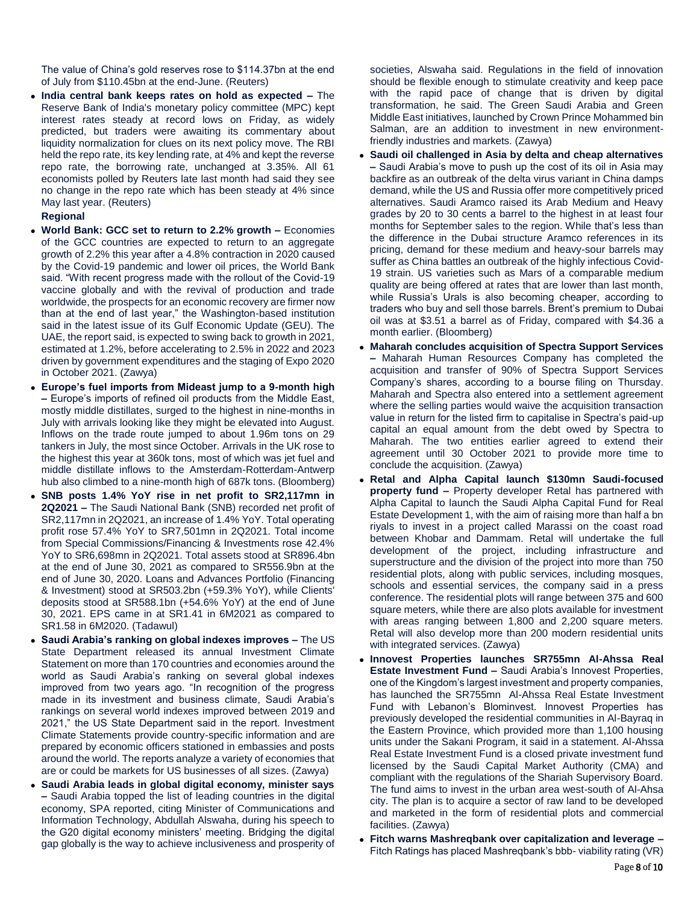The value of China's gold reserves rose to \$114.37bn at the end of July from \$110.45bn at the end-June. (Reuters)

 **India central bank keeps rates on hold as expected –** The Reserve Bank of India's monetary policy committee (MPC) kept interest rates steady at record lows on Friday, as widely predicted, but traders were awaiting its commentary about liquidity normalization for clues on its next policy move. The RBI held the repo rate, its key lending rate, at 4% and kept the reverse repo rate, the borrowing rate, unchanged at 3.35%. All 61 economists polled by Reuters late last month had said they see no change in the repo rate which has been steady at 4% since May last year. (Reuters)

# **Regional**

- **World Bank: GCC set to return to 2.2% growth –** Economies of the GCC countries are expected to return to an aggregate growth of 2.2% this year after a 4.8% contraction in 2020 caused by the Covid-19 pandemic and lower oil prices, the World Bank said. "With recent progress made with the rollout of the Covid-19 vaccine globally and with the revival of production and trade worldwide, the prospects for an economic recovery are firmer now than at the end of last year," the Washington-based institution said in the latest issue of its Gulf Economic Update (GEU). The UAE, the report said, is expected to swing back to growth in 2021, estimated at 1.2%, before accelerating to 2.5% in 2022 and 2023 driven by government expenditures and the staging of Expo 2020 in October 2021. (Zawya)
- **Europe's fuel imports from Mideast jump to a 9-month high –** Europe's imports of refined oil products from the Middle East, mostly middle distillates, surged to the highest in nine-months in July with arrivals looking like they might be elevated into August. Inflows on the trade route jumped to about 1.96m tons on 29 tankers in July, the most since October. Arrivals in the UK rose to the highest this year at 360k tons, most of which was jet fuel and middle distillate inflows to the Amsterdam-Rotterdam-Antwerp hub also climbed to a nine-month high of 687k tons. (Bloomberg)
- **SNB posts 1.4% YoY rise in net profit to SR2,117mn in 2Q2021 –** The Saudi National Bank (SNB) recorded net profit of SR2,117mn in 2Q2021, an increase of 1.4% YoY. Total operating profit rose 57.4% YoY to SR7,501mn in 2Q2021. Total income from Special Commissions/Financing & Investments rose 42.4% YoY to SR6,698mn in 2Q2021. Total assets stood at SR896.4bn at the end of June 30, 2021 as compared to SR556.9bn at the end of June 30, 2020. Loans and Advances Portfolio (Financing & Investment) stood at SR503.2bn (+59.3% YoY), while Clients' deposits stood at SR588.1bn (+54.6% YoY) at the end of June 30, 2021. EPS came in at SR1.41 in 6M2021 as compared to SR1.58 in 6M2020. (Tadawul)
- **Saudi Arabia's ranking on global indexes improves –** The US State Department released its annual Investment Climate Statement on more than 170 countries and economies around the world as Saudi Arabia's ranking on several global indexes improved from two years ago. "In recognition of the progress made in its investment and business climate, Saudi Arabia's rankings on several world indexes improved between 2019 and 2021," the US State Department said in the report. Investment Climate Statements provide country-specific information and are prepared by economic officers stationed in embassies and posts around the world. The reports analyze a variety of economies that are or could be markets for US businesses of all sizes. (Zawya)
- **Saudi Arabia leads in global digital economy, minister says –** Saudi Arabia topped the list of leading countries in the digital economy, SPA reported, citing Minister of Communications and Information Technology, Abdullah Alswaha, during his speech to the G20 digital economy ministers' meeting. Bridging the digital gap globally is the way to achieve inclusiveness and prosperity of

societies, Alswaha said. Regulations in the field of innovation should be flexible enough to stimulate creativity and keep pace with the rapid pace of change that is driven by digital transformation, he said. The Green Saudi Arabia and Green Middle East initiatives, launched by Crown Prince Mohammed bin Salman, are an addition to investment in new environmentfriendly industries and markets. (Zawya)

- **Saudi oil challenged in Asia by delta and cheap alternatives –** Saudi Arabia's move to push up the cost of its oil in Asia may backfire as an outbreak of the delta virus variant in China damps demand, while the US and Russia offer more competitively priced alternatives. Saudi Aramco raised its Arab Medium and Heavy grades by 20 to 30 cents a barrel to the highest in at least four months for September sales to the region. While that's less than the difference in the Dubai structure Aramco references in its pricing, demand for these medium and heavy-sour barrels may suffer as China battles an outbreak of the highly infectious Covid-19 strain. US varieties such as Mars of a comparable medium quality are being offered at rates that are lower than last month, while Russia's Urals is also becoming cheaper, according to traders who buy and sell those barrels. Brent's premium to Dubai oil was at \$3.51 a barrel as of Friday, compared with \$4.36 a month earlier. (Bloomberg)
- **Maharah concludes acquisition of Spectra Support Services –** Maharah Human Resources Company has completed the acquisition and transfer of 90% of Spectra Support Services Company's shares, according to a bourse filing on Thursday. Maharah and Spectra also entered into a settlement agreement where the selling parties would waive the acquisition transaction value in return for the listed firm to capitalise in Spectra's paid-up capital an equal amount from the debt owed by Spectra to Maharah. The two entities earlier agreed to extend their agreement until 30 October 2021 to provide more time to conclude the acquisition. (Zawya)
- **Retal and Alpha Capital launch \$130mn Saudi-focused property fund –** Property developer Retal has partnered with Alpha Capital to launch the Saudi Alpha Capital Fund for Real Estate Development 1, with the aim of raising more than half a bn riyals to invest in a project called Marassi on the coast road between Khobar and Dammam. Retal will undertake the full development of the project, including infrastructure and superstructure and the division of the project into more than 750 residential plots, along with public services, including mosques, schools and essential services, the company said in a press conference. The residential plots will range between 375 and 600 square meters, while there are also plots available for investment with areas ranging between 1,800 and 2,200 square meters. Retal will also develop more than 200 modern residential units with integrated services. (Zawya)
- **Innovest Properties launches SR755mn Al-Ahssa Real Estate Investment Fund –** Saudi Arabia's Innovest Properties, one of the Kingdom's largest investment and property companies, has launched the SR755mn Al-Ahssa Real Estate Investment Fund with Lebanon's Blominvest. Innovest Properties has previously developed the residential communities in Al-Bayraq in the Eastern Province, which provided more than 1,100 housing units under the Sakani Program, it said in a statement. Al-Ahssa Real Estate Investment Fund is a closed private investment fund licensed by the Saudi Capital Market Authority (CMA) and compliant with the regulations of the Shariah Supervisory Board. The fund aims to invest in the urban area west-south of Al-Ahsa city. The plan is to acquire a sector of raw land to be developed and marketed in the form of residential plots and commercial facilities. (Zawya)
- **Fitch warns Mashreqbank over capitalization and leverage**  Fitch Ratings has placed Mashreqbank's bbb- viability rating (VR)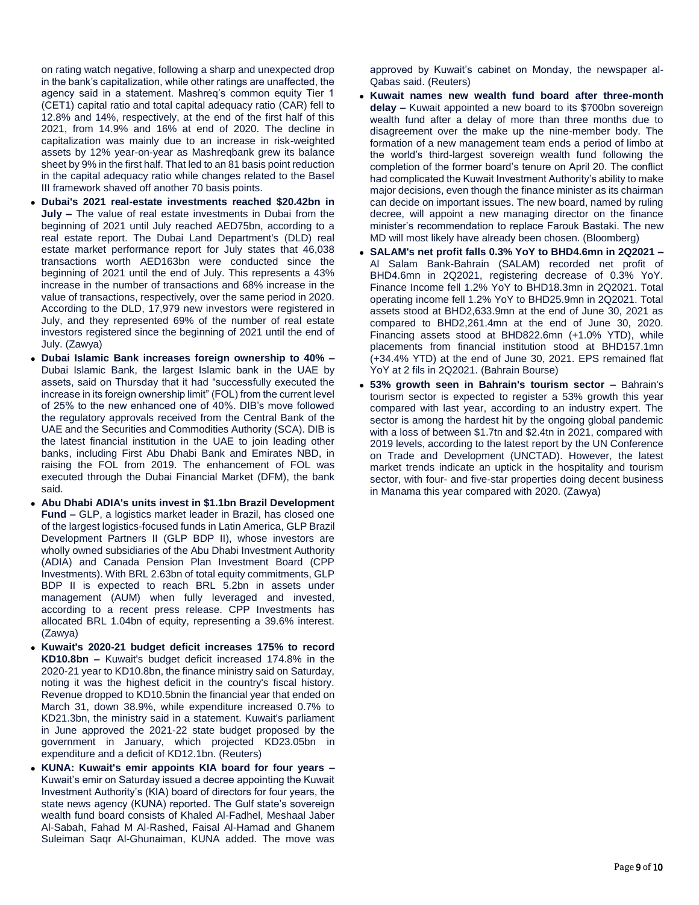on rating watch negative, following a sharp and unexpected drop in the bank's capitalization, while other ratings are unaffected, the agency said in a statement. Mashreq's common equity Tier 1 (CET1) capital ratio and total capital adequacy ratio (CAR) fell to 12.8% and 14%, respectively, at the end of the first half of this 2021, from 14.9% and 16% at end of 2020. The decline in capitalization was mainly due to an increase in risk-weighted assets by 12% year-on-year as Mashreqbank grew its balance sheet by 9% in the first half. That led to an 81 basis point reduction in the capital adequacy ratio while changes related to the Basel III framework shaved off another 70 basis points.

- **Dubai's 2021 real-estate investments reached \$20.42bn in July –** The value of real estate investments in Dubai from the beginning of 2021 until July reached AED75bn, according to a real estate report. The Dubai Land Department's (DLD) real estate market performance report for July states that 46,038 transactions worth AED163bn were conducted since the beginning of 2021 until the end of July. This represents a 43% increase in the number of transactions and 68% increase in the value of transactions, respectively, over the same period in 2020. According to the DLD, 17,979 new investors were registered in July, and they represented 69% of the number of real estate investors registered since the beginning of 2021 until the end of July. (Zawya)
- **Dubai Islamic Bank increases foreign ownership to 40% –** Dubai Islamic Bank, the largest Islamic bank in the UAE by assets, said on Thursday that it had "successfully executed the increase in its foreign ownership limit" (FOL) from the current level of 25% to the new enhanced one of 40%. DIB's move followed the regulatory approvals received from the Central Bank of the UAE and the Securities and Commodities Authority (SCA). DIB is the latest financial institution in the UAE to join leading other banks, including First Abu Dhabi Bank and Emirates NBD, in raising the FOL from 2019. The enhancement of FOL was executed through the Dubai Financial Market (DFM), the bank said.
- **Abu Dhabi ADIA's units invest in \$1.1bn Brazil Development Fund –** GLP, a logistics market leader in Brazil, has closed one of the largest logistics-focused funds in Latin America, GLP Brazil Development Partners II (GLP BDP II), whose investors are wholly owned subsidiaries of the Abu Dhabi Investment Authority (ADIA) and Canada Pension Plan Investment Board (CPP Investments). With BRL 2.63bn of total equity commitments, GLP BDP II is expected to reach BRL 5.2bn in assets under management (AUM) when fully leveraged and invested, according to a recent press release. CPP Investments has allocated BRL 1.04bn of equity, representing a 39.6% interest. (Zawya)
- **Kuwait's 2020-21 budget deficit increases 175% to record KD10.8bn –** Kuwait's budget deficit increased 174.8% in the 2020-21 year to KD10.8bn, the finance ministry said on Saturday, noting it was the highest deficit in the country's fiscal history. Revenue dropped to KD10.5bnin the financial year that ended on March 31, down 38.9%, while expenditure increased 0.7% to KD21.3bn, the ministry said in a statement. Kuwait's parliament in June approved the 2021-22 state budget proposed by the government in January, which projected KD23.05bn in expenditure and a deficit of KD12.1bn. (Reuters)
- **KUNA: Kuwait's emir appoints KIA board for four years –** Kuwait's emir on Saturday issued a decree appointing the Kuwait Investment Authority's (KIA) board of directors for four years, the state news agency (KUNA) reported. The Gulf state's sovereign wealth fund board consists of Khaled Al-Fadhel, Meshaal Jaber Al-Sabah, Fahad M Al-Rashed, Faisal Al-Hamad and Ghanem Suleiman Saqr Al-Ghunaiman, KUNA added. The move was

approved by Kuwait's cabinet on Monday, the newspaper al-Qabas said. (Reuters)

- **Kuwait names new wealth fund board after three-month delay –** Kuwait appointed a new board to its \$700bn sovereign wealth fund after a delay of more than three months due to disagreement over the make up the nine-member body. The formation of a new management team ends a period of limbo at the world's third-largest sovereign wealth fund following the completion of the former board's tenure on April 20. The conflict had complicated the Kuwait Investment Authority's ability to make major decisions, even though the finance minister as its chairman can decide on important issues. The new board, named by ruling decree, will appoint a new managing director on the finance minister's recommendation to replace Farouk Bastaki. The new MD will most likely have already been chosen. (Bloomberg)
- **SALAM's net profit falls 0.3% YoY to BHD4.6mn in 2Q2021 –** Al Salam Bank-Bahrain (SALAM) recorded net profit of BHD4.6mn in 2Q2021, registering decrease of 0.3% YoY. Finance Income fell 1.2% YoY to BHD18.3mn in 2Q2021. Total operating income fell 1.2% YoY to BHD25.9mn in 2Q2021. Total assets stood at BHD2,633.9mn at the end of June 30, 2021 as compared to BHD2,261.4mn at the end of June 30, 2020. Financing assets stood at BHD822.6mn (+1.0% YTD), while placements from financial institution stood at BHD157.1mn (+34.4% YTD) at the end of June 30, 2021. EPS remained flat YoY at 2 fils in 2Q2021. (Bahrain Bourse)
- **53% growth seen in Bahrain's tourism sector –** Bahrain's tourism sector is expected to register a 53% growth this year compared with last year, according to an industry expert. The sector is among the hardest hit by the ongoing global pandemic with a loss of between \$1.7tn and \$2.4tn in 2021, compared with 2019 levels, according to the latest report by the UN Conference on Trade and Development (UNCTAD). However, the latest market trends indicate an uptick in the hospitality and tourism sector, with four- and five-star properties doing decent business in Manama this year compared with 2020. (Zawya)